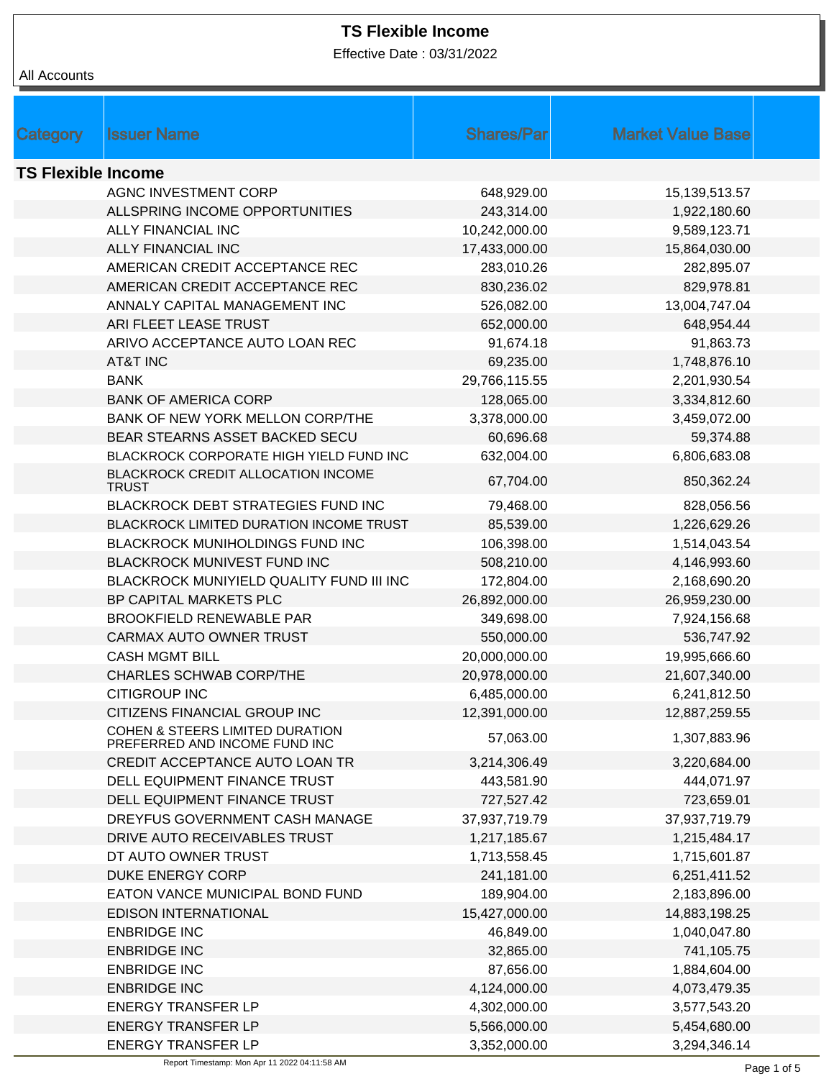Effective Date : 03/31/2022

|                           |                                                                  | <b>Shares/Par</b> | <b>Market Value Base</b> |  |
|---------------------------|------------------------------------------------------------------|-------------------|--------------------------|--|
| Category                  | <b>Issuer Name</b>                                               |                   |                          |  |
| <b>TS Flexible Income</b> |                                                                  |                   |                          |  |
|                           | AGNC INVESTMENT CORP                                             | 648,929.00        | 15,139,513.57            |  |
|                           | ALLSPRING INCOME OPPORTUNITIES                                   | 243,314.00        | 1,922,180.60             |  |
|                           | <b>ALLY FINANCIAL INC</b>                                        | 10,242,000.00     | 9,589,123.71             |  |
|                           | <b>ALLY FINANCIAL INC</b>                                        | 17,433,000.00     | 15,864,030.00            |  |
|                           | AMERICAN CREDIT ACCEPTANCE REC                                   | 283,010.26        | 282,895.07               |  |
|                           | AMERICAN CREDIT ACCEPTANCE REC                                   | 830,236.02        | 829,978.81               |  |
|                           | ANNALY CAPITAL MANAGEMENT INC                                    | 526,082.00        | 13,004,747.04            |  |
|                           | ARI FLEET LEASE TRUST                                            | 652,000.00        | 648,954.44               |  |
|                           | ARIVO ACCEPTANCE AUTO LOAN REC                                   | 91,674.18         | 91,863.73                |  |
|                           | <b>AT&amp;T INC</b>                                              | 69,235.00         | 1,748,876.10             |  |
|                           | <b>BANK</b>                                                      | 29,766,115.55     | 2,201,930.54             |  |
|                           | <b>BANK OF AMERICA CORP</b>                                      | 128,065.00        | 3,334,812.60             |  |
|                           | BANK OF NEW YORK MELLON CORP/THE                                 | 3,378,000.00      | 3,459,072.00             |  |
|                           | BEAR STEARNS ASSET BACKED SECU                                   | 60,696.68         | 59,374.88                |  |
|                           | BLACKROCK CORPORATE HIGH YIELD FUND INC                          | 632,004.00        | 6,806,683.08             |  |
|                           | BLACKROCK CREDIT ALLOCATION INCOME                               | 67,704.00         | 850,362.24               |  |
|                           | <b>TRUST</b>                                                     |                   |                          |  |
|                           | BLACKROCK DEBT STRATEGIES FUND INC                               | 79,468.00         | 828,056.56               |  |
|                           | BLACKROCK LIMITED DURATION INCOME TRUST                          | 85,539.00         | 1,226,629.26             |  |
|                           | BLACKROCK MUNIHOLDINGS FUND INC                                  | 106,398.00        | 1,514,043.54             |  |
|                           | BLACKROCK MUNIVEST FUND INC                                      | 508,210.00        | 4,146,993.60             |  |
|                           | BLACKROCK MUNIYIELD QUALITY FUND III INC                         | 172,804.00        | 2,168,690.20             |  |
|                           | BP CAPITAL MARKETS PLC                                           | 26,892,000.00     | 26,959,230.00            |  |
|                           | <b>BROOKFIELD RENEWABLE PAR</b>                                  | 349,698.00        | 7,924,156.68             |  |
|                           | CARMAX AUTO OWNER TRUST                                          | 550,000.00        | 536,747.92               |  |
|                           | <b>CASH MGMT BILL</b>                                            | 20,000,000.00     | 19,995,666.60            |  |
|                           | <b>CHARLES SCHWAB CORP/THE</b>                                   | 20,978,000.00     | 21,607,340.00            |  |
|                           | <b>CITIGROUP INC</b>                                             | 6,485,000.00      | 6,241,812.50             |  |
|                           | CITIZENS FINANCIAL GROUP INC                                     | 12,391,000.00     | 12,887,259.55            |  |
|                           | COHEN & STEERS LIMITED DURATION<br>PREFERRED AND INCOME FUND INC | 57,063.00         | 1,307,883.96             |  |
|                           | CREDIT ACCEPTANCE AUTO LOAN TR                                   | 3,214,306.49      | 3,220,684.00             |  |
|                           | DELL EQUIPMENT FINANCE TRUST                                     | 443,581.90        | 444,071.97               |  |
|                           | DELL EQUIPMENT FINANCE TRUST                                     | 727,527.42        | 723,659.01               |  |
|                           | DREYFUS GOVERNMENT CASH MANAGE                                   | 37,937,719.79     | 37,937,719.79            |  |
|                           | DRIVE AUTO RECEIVABLES TRUST                                     | 1,217,185.67      | 1,215,484.17             |  |
|                           | DT AUTO OWNER TRUST                                              | 1,713,558.45      | 1,715,601.87             |  |
|                           | DUKE ENERGY CORP                                                 | 241,181.00        | 6,251,411.52             |  |
|                           | EATON VANCE MUNICIPAL BOND FUND                                  | 189,904.00        | 2,183,896.00             |  |
|                           | <b>EDISON INTERNATIONAL</b>                                      | 15,427,000.00     | 14,883,198.25            |  |
|                           | <b>ENBRIDGE INC</b>                                              | 46,849.00         | 1,040,047.80             |  |
|                           | <b>ENBRIDGE INC</b>                                              | 32,865.00         | 741,105.75               |  |
|                           | <b>ENBRIDGE INC</b>                                              | 87,656.00         | 1,884,604.00             |  |
|                           | <b>ENBRIDGE INC</b>                                              | 4,124,000.00      | 4,073,479.35             |  |
|                           | <b>ENERGY TRANSFER LP</b>                                        | 4,302,000.00      | 3,577,543.20             |  |
|                           | <b>ENERGY TRANSFER LP</b>                                        | 5,566,000.00      | 5,454,680.00             |  |
|                           | <b>ENERGY TRANSFER LP</b>                                        | 3,352,000.00      | 3,294,346.14             |  |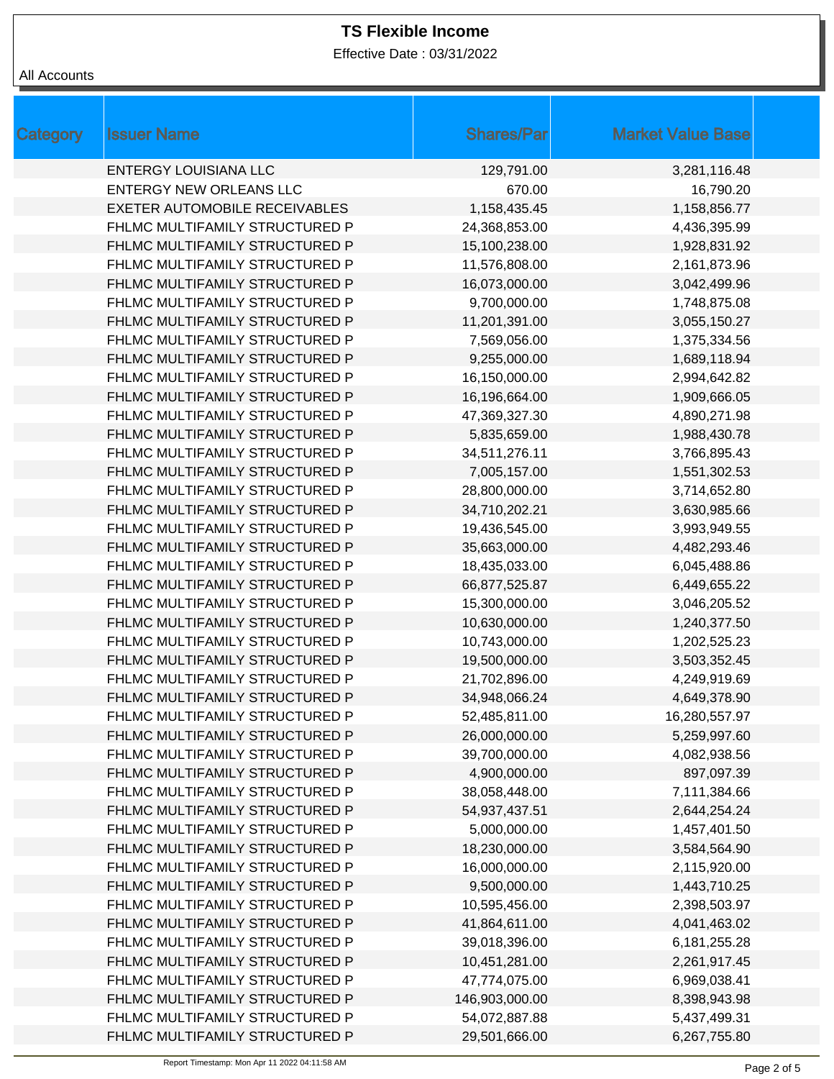Effective Date : 03/31/2022

#### All Accounts

| Category | <b>Issuer Name</b>                   | <b>Shares/Par</b> | <b>Market Value Base</b> |
|----------|--------------------------------------|-------------------|--------------------------|
|          | <b>ENTERGY LOUISIANA LLC</b>         | 129,791.00        | 3,281,116.48             |
|          | <b>ENTERGY NEW ORLEANS LLC</b>       | 670.00            | 16,790.20                |
|          | <b>EXETER AUTOMOBILE RECEIVABLES</b> | 1,158,435.45      | 1,158,856.77             |
|          | FHLMC MULTIFAMILY STRUCTURED P       | 24,368,853.00     | 4,436,395.99             |
|          | FHLMC MULTIFAMILY STRUCTURED P       | 15,100,238.00     | 1,928,831.92             |
|          | FHLMC MULTIFAMILY STRUCTURED P       | 11,576,808.00     | 2,161,873.96             |
|          | FHLMC MULTIFAMILY STRUCTURED P       | 16,073,000.00     | 3,042,499.96             |
|          | FHLMC MULTIFAMILY STRUCTURED P       | 9,700,000.00      | 1,748,875.08             |
|          | FHLMC MULTIFAMILY STRUCTURED P       | 11,201,391.00     | 3,055,150.27             |
|          | FHLMC MULTIFAMILY STRUCTURED P       | 7,569,056.00      | 1,375,334.56             |
|          | FHLMC MULTIFAMILY STRUCTURED P       | 9,255,000.00      | 1,689,118.94             |
|          | FHLMC MULTIFAMILY STRUCTURED P       | 16,150,000.00     | 2,994,642.82             |
|          | FHLMC MULTIFAMILY STRUCTURED P       | 16,196,664.00     | 1,909,666.05             |
|          | FHLMC MULTIFAMILY STRUCTURED P       | 47,369,327.30     | 4,890,271.98             |
|          | FHLMC MULTIFAMILY STRUCTURED P       | 5,835,659.00      | 1,988,430.78             |
|          | FHLMC MULTIFAMILY STRUCTURED P       | 34,511,276.11     | 3,766,895.43             |
|          | FHLMC MULTIFAMILY STRUCTURED P       | 7,005,157.00      | 1,551,302.53             |
|          | FHLMC MULTIFAMILY STRUCTURED P       | 28,800,000.00     | 3,714,652.80             |
|          | FHLMC MULTIFAMILY STRUCTURED P       | 34,710,202.21     | 3,630,985.66             |
|          | FHLMC MULTIFAMILY STRUCTURED P       | 19,436,545.00     | 3,993,949.55             |
|          | FHLMC MULTIFAMILY STRUCTURED P       | 35,663,000.00     | 4,482,293.46             |
|          | FHLMC MULTIFAMILY STRUCTURED P       | 18,435,033.00     | 6,045,488.86             |
|          | FHLMC MULTIFAMILY STRUCTURED P       | 66,877,525.87     | 6,449,655.22             |
|          | FHLMC MULTIFAMILY STRUCTURED P       | 15,300,000.00     | 3,046,205.52             |
|          | FHLMC MULTIFAMILY STRUCTURED P       | 10,630,000.00     | 1,240,377.50             |
|          | FHLMC MULTIFAMILY STRUCTURED P       | 10,743,000.00     | 1,202,525.23             |
|          | FHLMC MULTIFAMILY STRUCTURED P       | 19,500,000.00     | 3,503,352.45             |
|          | FHLMC MULTIFAMILY STRUCTURED P       | 21,702,896.00     | 4,249,919.69             |
|          | FHLMC MULTIFAMILY STRUCTURED P       | 34,948,066.24     | 4,649,378.90             |
|          | FHLMC MULTIFAMILY STRUCTURED P       | 52,485,811.00     | 16,280,557.97            |
|          | FHLMC MULTIFAMILY STRUCTURED P       | 26,000,000.00     | 5,259,997.60             |
|          | FHLMC MULTIFAMILY STRUCTURED P       | 39,700,000.00     | 4,082,938.56             |
|          | FHLMC MULTIFAMILY STRUCTURED P       | 4,900,000.00      | 897,097.39               |
|          | FHLMC MULTIFAMILY STRUCTURED P       | 38,058,448.00     | 7,111,384.66             |
|          | FHLMC MULTIFAMILY STRUCTURED P       | 54,937,437.51     | 2,644,254.24             |
|          | FHLMC MULTIFAMILY STRUCTURED P       | 5,000,000.00      | 1,457,401.50             |
|          | FHLMC MULTIFAMILY STRUCTURED P       | 18,230,000.00     | 3,584,564.90             |
|          | FHLMC MULTIFAMILY STRUCTURED P       | 16,000,000.00     | 2,115,920.00             |
|          | FHLMC MULTIFAMILY STRUCTURED P       | 9,500,000.00      | 1,443,710.25             |
|          | FHLMC MULTIFAMILY STRUCTURED P       | 10,595,456.00     | 2,398,503.97             |
|          | FHLMC MULTIFAMILY STRUCTURED P       | 41,864,611.00     | 4,041,463.02             |
|          | FHLMC MULTIFAMILY STRUCTURED P       | 39,018,396.00     | 6,181,255.28             |
|          | FHLMC MULTIFAMILY STRUCTURED P       | 10,451,281.00     | 2,261,917.45             |
|          | FHLMC MULTIFAMILY STRUCTURED P       | 47,774,075.00     | 6,969,038.41             |
|          | FHLMC MULTIFAMILY STRUCTURED P       | 146,903,000.00    | 8,398,943.98             |
|          | FHLMC MULTIFAMILY STRUCTURED P       | 54,072,887.88     | 5,437,499.31             |
|          | FHLMC MULTIFAMILY STRUCTURED P       | 29,501,666.00     | 6,267,755.80             |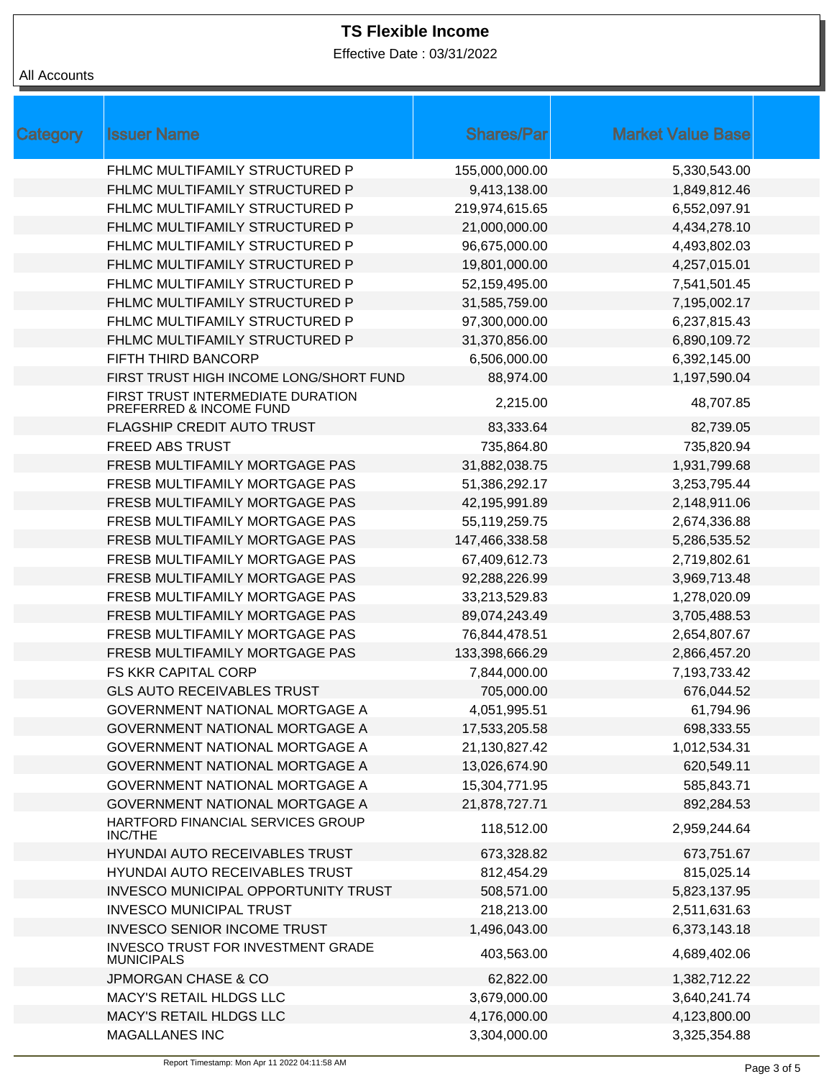Effective Date : 03/31/2022

# All Accounts

| Category | <b>Issuer Name</b>                                           | <b>Shares/Par</b> | <b>Market Value Base</b> |  |
|----------|--------------------------------------------------------------|-------------------|--------------------------|--|
|          | FHLMC MULTIFAMILY STRUCTURED P                               | 155,000,000.00    | 5,330,543.00             |  |
|          | FHLMC MULTIFAMILY STRUCTURED P                               | 9,413,138.00      | 1,849,812.46             |  |
|          | FHLMC MULTIFAMILY STRUCTURED P                               | 219,974,615.65    | 6,552,097.91             |  |
|          | FHLMC MULTIFAMILY STRUCTURED P                               | 21,000,000.00     | 4,434,278.10             |  |
|          | FHLMC MULTIFAMILY STRUCTURED P                               | 96,675,000.00     | 4,493,802.03             |  |
|          | FHLMC MULTIFAMILY STRUCTURED P                               | 19,801,000.00     | 4,257,015.01             |  |
|          | FHLMC MULTIFAMILY STRUCTURED P                               | 52,159,495.00     | 7,541,501.45             |  |
|          | FHLMC MULTIFAMILY STRUCTURED P                               | 31,585,759.00     | 7,195,002.17             |  |
|          | FHLMC MULTIFAMILY STRUCTURED P                               | 97,300,000.00     | 6,237,815.43             |  |
|          | FHLMC MULTIFAMILY STRUCTURED P                               | 31,370,856.00     | 6,890,109.72             |  |
|          | FIFTH THIRD BANCORP                                          | 6,506,000.00      | 6,392,145.00             |  |
|          | FIRST TRUST HIGH INCOME LONG/SHORT FUND                      | 88,974.00         | 1,197,590.04             |  |
|          | FIRST TRUST INTERMEDIATE DURATION<br>PREFERRED & INCOME FUND | 2,215.00          | 48,707.85                |  |
|          | FLAGSHIP CREDIT AUTO TRUST                                   | 83,333.64         | 82,739.05                |  |
|          | <b>FREED ABS TRUST</b>                                       | 735,864.80        | 735,820.94               |  |
|          | FRESB MULTIFAMILY MORTGAGE PAS                               | 31,882,038.75     | 1,931,799.68             |  |
|          | FRESB MULTIFAMILY MORTGAGE PAS                               | 51,386,292.17     | 3,253,795.44             |  |
|          | FRESB MULTIFAMILY MORTGAGE PAS                               | 42,195,991.89     | 2,148,911.06             |  |
|          | FRESB MULTIFAMILY MORTGAGE PAS                               | 55,119,259.75     | 2,674,336.88             |  |
|          | FRESB MULTIFAMILY MORTGAGE PAS                               | 147,466,338.58    | 5,286,535.52             |  |
|          | FRESB MULTIFAMILY MORTGAGE PAS                               | 67,409,612.73     | 2,719,802.61             |  |
|          | FRESB MULTIFAMILY MORTGAGE PAS                               | 92,288,226.99     | 3,969,713.48             |  |
|          | FRESB MULTIFAMILY MORTGAGE PAS                               | 33,213,529.83     | 1,278,020.09             |  |
|          | FRESB MULTIFAMILY MORTGAGE PAS                               | 89,074,243.49     | 3,705,488.53             |  |
|          | FRESB MULTIFAMILY MORTGAGE PAS                               | 76,844,478.51     | 2,654,807.67             |  |
|          | FRESB MULTIFAMILY MORTGAGE PAS                               | 133,398,666.29    | 2,866,457.20             |  |
|          | FS KKR CAPITAL CORP                                          | 7,844,000.00      | 7,193,733.42             |  |
|          | <b>GLS AUTO RECEIVABLES TRUST</b>                            | 705,000.00        | 676,044.52               |  |
|          | GOVERNMENT NATIONAL MORTGAGE A                               | 4,051,995.51      | 61,794.96                |  |
|          | GOVERNMENT NATIONAL MORTGAGE A                               | 17,533,205.58     | 698,333.55               |  |
|          | GOVERNMENT NATIONAL MORTGAGE A                               | 21,130,827.42     | 1,012,534.31             |  |
|          | GOVERNMENT NATIONAL MORTGAGE A                               | 13,026,674.90     | 620,549.11               |  |
|          | GOVERNMENT NATIONAL MORTGAGE A                               | 15,304,771.95     | 585,843.71               |  |
|          | GOVERNMENT NATIONAL MORTGAGE A                               | 21,878,727.71     | 892,284.53               |  |
|          | HARTFORD FINANCIAL SERVICES GROUP<br><b>INC/THE</b>          | 118,512.00        | 2,959,244.64             |  |
|          | HYUNDAI AUTO RECEIVABLES TRUST                               | 673,328.82        | 673,751.67               |  |
|          | HYUNDAI AUTO RECEIVABLES TRUST                               | 812,454.29        | 815,025.14               |  |
|          | INVESCO MUNICIPAL OPPORTUNITY TRUST                          | 508,571.00        | 5,823,137.95             |  |
|          | <b>INVESCO MUNICIPAL TRUST</b>                               | 218,213.00        | 2,511,631.63             |  |
|          | <b>INVESCO SENIOR INCOME TRUST</b>                           | 1,496,043.00      | 6,373,143.18             |  |
|          | INVESCO TRUST FOR INVESTMENT GRADE<br><b>MUNICIPALS</b>      | 403,563.00        | 4,689,402.06             |  |
|          | <b>JPMORGAN CHASE &amp; CO</b>                               | 62,822.00         | 1,382,712.22             |  |
|          | MACY'S RETAIL HLDGS LLC                                      | 3,679,000.00      | 3,640,241.74             |  |
|          | MACY'S RETAIL HLDGS LLC                                      | 4,176,000.00      | 4,123,800.00             |  |
|          | <b>MAGALLANES INC</b>                                        | 3,304,000.00      | 3,325,354.88             |  |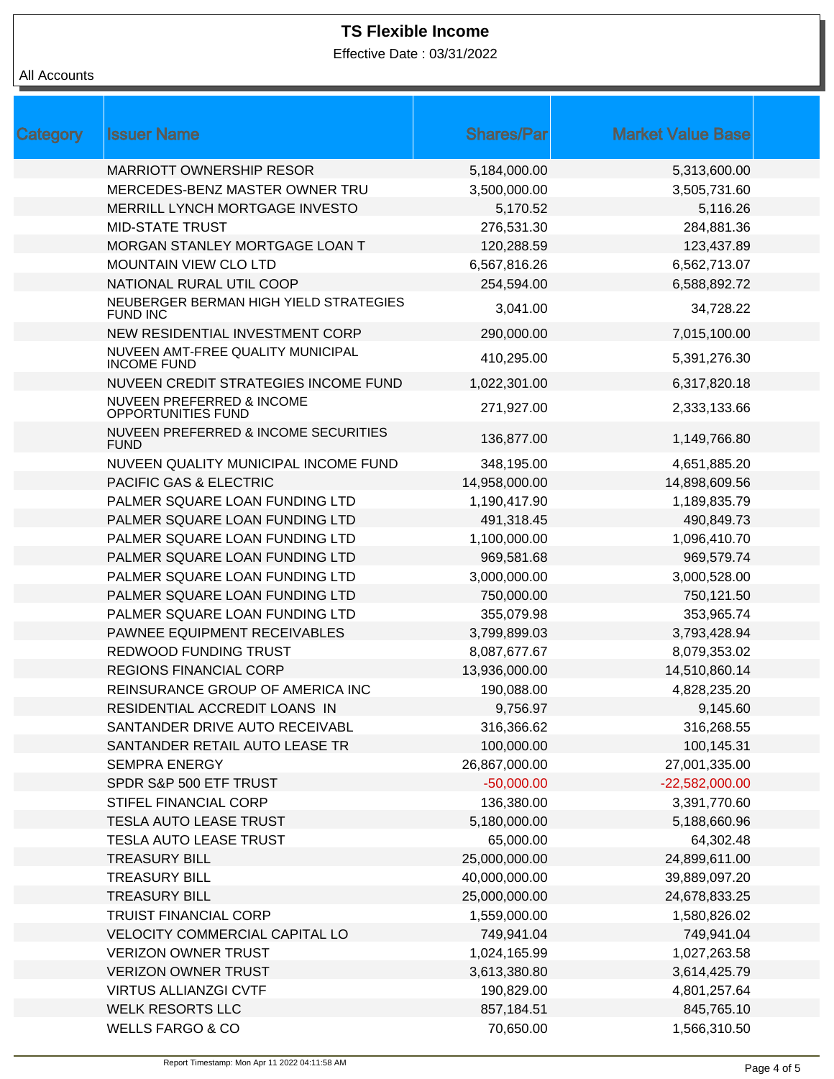Effective Date : 03/31/2022

#### All Accounts

| Category | <b>Issuer Name</b>                                                | <b>Shares/Par</b> | <b>Market Value Base</b> |  |
|----------|-------------------------------------------------------------------|-------------------|--------------------------|--|
|          | <b>MARRIOTT OWNERSHIP RESOR</b>                                   | 5,184,000.00      | 5,313,600.00             |  |
|          | MERCEDES-BENZ MASTER OWNER TRU                                    | 3,500,000.00      | 3,505,731.60             |  |
|          | MERRILL LYNCH MORTGAGE INVESTO                                    | 5,170.52          | 5,116.26                 |  |
|          | <b>MID-STATE TRUST</b>                                            | 276,531.30        | 284,881.36               |  |
|          | MORGAN STANLEY MORTGAGE LOAN T                                    | 120,288.59        | 123,437.89               |  |
|          | <b>MOUNTAIN VIEW CLO LTD</b>                                      | 6,567,816.26      | 6,562,713.07             |  |
|          | NATIONAL RURAL UTIL COOP                                          | 254,594.00        | 6,588,892.72             |  |
|          | NEUBERGER BERMAN HIGH YIELD STRATEGIES<br><b>FUND INC</b>         | 3,041.00          | 34,728.22                |  |
|          | NEW RESIDENTIAL INVESTMENT CORP                                   | 290,000.00        | 7,015,100.00             |  |
|          | NUVEEN AMT-FREE QUALITY MUNICIPAL<br><b>INCOME FUND</b>           | 410,295.00        | 5,391,276.30             |  |
|          | NUVEEN CREDIT STRATEGIES INCOME FUND                              | 1,022,301.00      | 6,317,820.18             |  |
|          | <b>NUVEEN PREFERRED &amp; INCOME</b><br><b>OPPORTUNITIES FUND</b> | 271,927.00        | 2,333,133.66             |  |
|          | NUVEEN PREFERRED & INCOME SECURITIES<br><b>FUND</b>               | 136,877.00        | 1,149,766.80             |  |
|          | NUVEEN QUALITY MUNICIPAL INCOME FUND                              | 348,195.00        | 4,651,885.20             |  |
|          | <b>PACIFIC GAS &amp; ELECTRIC</b>                                 | 14,958,000.00     | 14,898,609.56            |  |
|          | PALMER SQUARE LOAN FUNDING LTD                                    | 1,190,417.90      | 1,189,835.79             |  |
|          | PALMER SQUARE LOAN FUNDING LTD                                    | 491,318.45        | 490,849.73               |  |
|          | PALMER SQUARE LOAN FUNDING LTD                                    | 1,100,000.00      | 1,096,410.70             |  |
|          | PALMER SQUARE LOAN FUNDING LTD                                    | 969,581.68        | 969,579.74               |  |
|          | PALMER SQUARE LOAN FUNDING LTD                                    | 3,000,000.00      | 3,000,528.00             |  |
|          | PALMER SQUARE LOAN FUNDING LTD                                    | 750,000.00        | 750,121.50               |  |
|          | PALMER SQUARE LOAN FUNDING LTD                                    | 355,079.98        | 353,965.74               |  |
|          | PAWNEE EQUIPMENT RECEIVABLES                                      | 3,799,899.03      | 3,793,428.94             |  |
|          | REDWOOD FUNDING TRUST                                             | 8,087,677.67      | 8,079,353.02             |  |
|          | <b>REGIONS FINANCIAL CORP</b>                                     | 13,936,000.00     | 14,510,860.14            |  |
|          | REINSURANCE GROUP OF AMERICA INC                                  | 190,088.00        | 4,828,235.20             |  |
|          | RESIDENTIAL ACCREDIT LOANS IN                                     | 9,756.97          | 9,145.60                 |  |
|          | SANTANDER DRIVE AUTO RECEIVABL                                    | 316,366.62        | 316,268.55               |  |
|          | SANTANDER RETAIL AUTO LEASE TR                                    | 100,000.00        | 100,145.31               |  |
|          | <b>SEMPRA ENERGY</b>                                              | 26,867,000.00     | 27,001,335.00            |  |
|          | SPDR S&P 500 ETF TRUST                                            | $-50,000.00$      | $-22,582,000.00$         |  |
|          | STIFEL FINANCIAL CORP                                             | 136,380.00        | 3,391,770.60             |  |
|          | TESLA AUTO LEASE TRUST                                            | 5,180,000.00      | 5,188,660.96             |  |
|          | <b>TESLA AUTO LEASE TRUST</b>                                     | 65,000.00         | 64,302.48                |  |
|          | <b>TREASURY BILL</b>                                              | 25,000,000.00     | 24,899,611.00            |  |
|          | <b>TREASURY BILL</b>                                              | 40,000,000.00     | 39,889,097.20            |  |
|          | <b>TREASURY BILL</b>                                              | 25,000,000.00     | 24,678,833.25            |  |
|          | <b>TRUIST FINANCIAL CORP</b>                                      | 1,559,000.00      | 1,580,826.02             |  |
|          | VELOCITY COMMERCIAL CAPITAL LO                                    | 749,941.04        | 749,941.04               |  |
|          | <b>VERIZON OWNER TRUST</b>                                        | 1,024,165.99      | 1,027,263.58             |  |
|          | <b>VERIZON OWNER TRUST</b>                                        | 3,613,380.80      | 3,614,425.79             |  |
|          | <b>VIRTUS ALLIANZGI CVTF</b>                                      | 190,829.00        | 4,801,257.64             |  |
|          | <b>WELK RESORTS LLC</b>                                           | 857,184.51        | 845,765.10               |  |
|          | <b>WELLS FARGO &amp; CO</b>                                       | 70,650.00         | 1,566,310.50             |  |